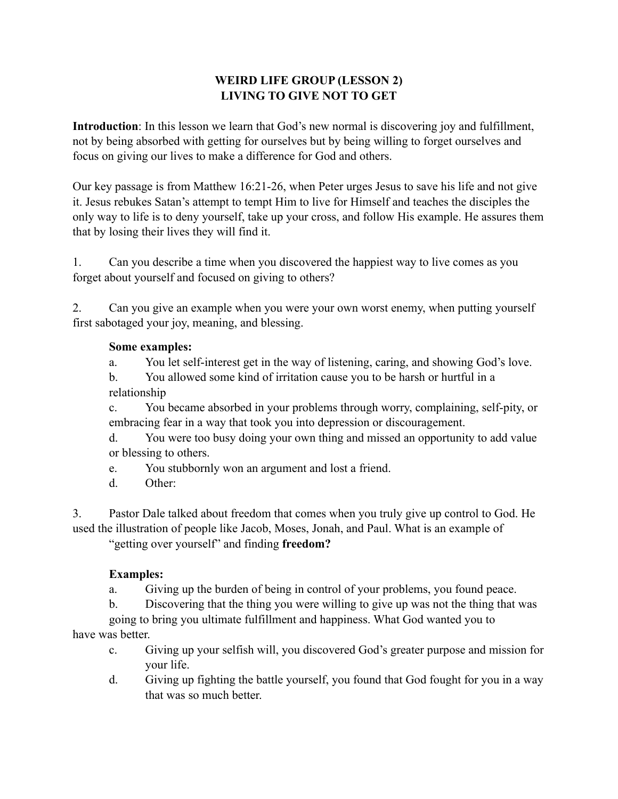## **WEIRD LIFE GROUP (LESSON 2) LIVING TO GIVE NOT TO GET**

**Introduction**: In this lesson we learn that God's new normal is discovering joy and fulfillment, not by being absorbed with getting for ourselves but by being willing to forget ourselves and focus on giving our lives to make a difference for God and others.

Our key passage is from Matthew 16:21-26, when Peter urges Jesus to save his life and not give it. Jesus rebukes Satan's attempt to tempt Him to live for Himself and teaches the disciples the only way to life is to deny yourself, take up your cross, and follow His example. He assures them that by losing their lives they will find it.

1. Can you describe a time when you discovered the happiest way to live comes as you forget about yourself and focused on giving to others?

2. Can you give an example when you were your own worst enemy, when putting yourself first sabotaged your joy, meaning, and blessing.

## **Some examples:**

a. You let self-interest get in the way of listening, caring, and showing God's love.

 b. You allowed some kind of irritation cause you to be harsh or hurtful in a relationship

 c. You became absorbed in your problems through worry, complaining, self-pity, or embracing fear in a way that took you into depression or discouragement.

 d. You were too busy doing your own thing and missed an opportunity to add value or blessing to others.

e. You stubbornly won an argument and lost a friend.

d. Other:

3. Pastor Dale talked about freedom that comes when you truly give up control to God. He used the illustration of people like Jacob, Moses, Jonah, and Paul. What is an example of "getting over yourself" and finding **freedom?** 

## **Examples:**

a. Giving up the burden of being in control of your problems, you found peace.

b. Discovering that the thing you were willing to give up was not the thing that was

 going to bring you ultimate fulfillment and happiness. What God wanted you to have was better.

- c. Giving up your selfish will, you discovered God's greater purpose and mission for your life.
- d. Giving up fighting the battle yourself, you found that God fought for you in a way that was so much better.